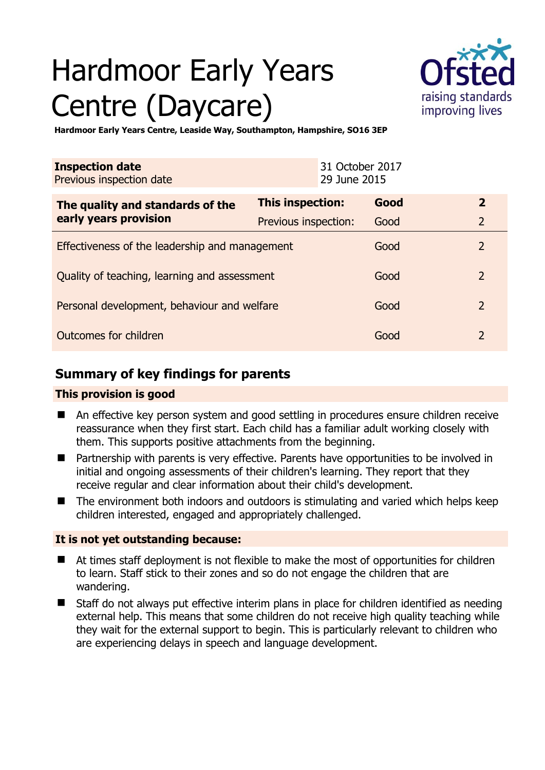# Hardmoor Early Years Centre (Daycare)



**Hardmoor Early Years Centre, Leaside Way, Southampton, Hampshire, SO16 3EP** 

| <b>Inspection date</b><br>Previous inspection date        | 31 October 2017<br>29 June 2015 |      |                |
|-----------------------------------------------------------|---------------------------------|------|----------------|
| The quality and standards of the<br>early years provision | This inspection:                | Good | $\mathbf{2}$   |
|                                                           | Previous inspection:            | Good | $\overline{2}$ |
| Effectiveness of the leadership and management            |                                 | Good | $\overline{2}$ |
| Quality of teaching, learning and assessment              |                                 | Good | $\overline{2}$ |
| Personal development, behaviour and welfare               |                                 | Good | $\overline{2}$ |
| Outcomes for children                                     |                                 | Good | $\overline{2}$ |

## **Summary of key findings for parents**

## **This provision is good**

- An effective key person system and good settling in procedures ensure children receive reassurance when they first start. Each child has a familiar adult working closely with them. This supports positive attachments from the beginning.
- Partnership with parents is very effective. Parents have opportunities to be involved in initial and ongoing assessments of their children's learning. They report that they receive regular and clear information about their child's development.
- The environment both indoors and outdoors is stimulating and varied which helps keep children interested, engaged and appropriately challenged.

## **It is not yet outstanding because:**

- At times staff deployment is not flexible to make the most of opportunities for children to learn. Staff stick to their zones and so do not engage the children that are wandering.
- Staff do not always put effective interim plans in place for children identified as needing external help. This means that some children do not receive high quality teaching while they wait for the external support to begin. This is particularly relevant to children who are experiencing delays in speech and language development.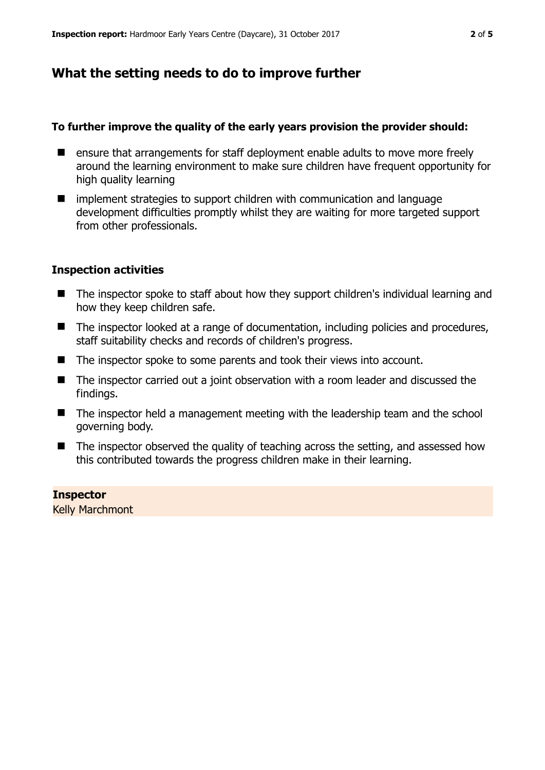# **What the setting needs to do to improve further**

#### **To further improve the quality of the early years provision the provider should:**

- ensure that arrangements for staff deployment enable adults to move more freely around the learning environment to make sure children have frequent opportunity for high quality learning
- implement strategies to support children with communication and language development difficulties promptly whilst they are waiting for more targeted support from other professionals.

#### **Inspection activities**

- The inspector spoke to staff about how they support children's individual learning and how they keep children safe.
- The inspector looked at a range of documentation, including policies and procedures, staff suitability checks and records of children's progress.
- The inspector spoke to some parents and took their views into account.
- The inspector carried out a joint observation with a room leader and discussed the findings.
- The inspector held a management meeting with the leadership team and the school governing body.
- The inspector observed the quality of teaching across the setting, and assessed how this contributed towards the progress children make in their learning.

#### **Inspector**

Kelly Marchmont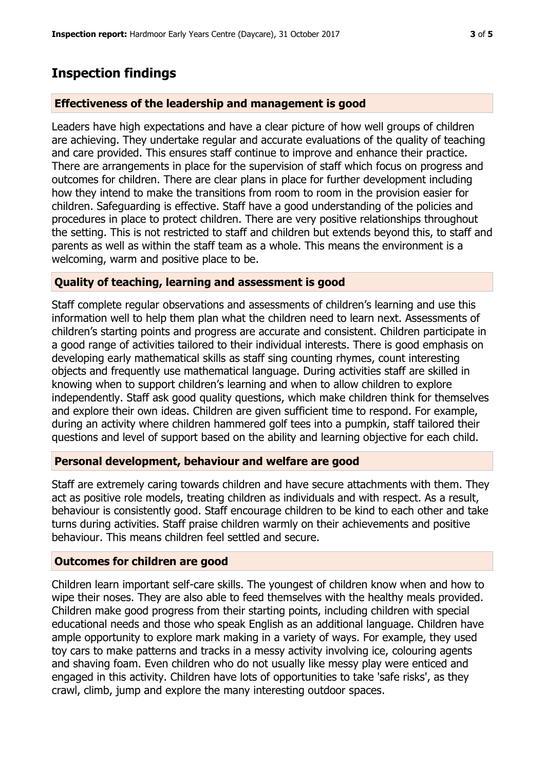## **Inspection findings**

#### **Effectiveness of the leadership and management is good**

Leaders have high expectations and have a clear picture of how well groups of children are achieving. They undertake regular and accurate evaluations of the quality of teaching and care provided. This ensures staff continue to improve and enhance their practice. There are arrangements in place for the supervision of staff which focus on progress and outcomes for children. There are clear plans in place for further development including how they intend to make the transitions from room to room in the provision easier for children. Safeguarding is effective. Staff have a good understanding of the policies and procedures in place to protect children. There are very positive relationships throughout the setting. This is not restricted to staff and children but extends beyond this, to staff and parents as well as within the staff team as a whole. This means the environment is a welcoming, warm and positive place to be.

#### **Quality of teaching, learning and assessment is good**

Staff complete regular observations and assessments of children's learning and use this information well to help them plan what the children need to learn next. Assessments of children's starting points and progress are accurate and consistent. Children participate in a good range of activities tailored to their individual interests. There is good emphasis on developing early mathematical skills as staff sing counting rhymes, count interesting objects and frequently use mathematical language. During activities staff are skilled in knowing when to support children's learning and when to allow children to explore independently. Staff ask good quality questions, which make children think for themselves and explore their own ideas. Children are given sufficient time to respond. For example, during an activity where children hammered golf tees into a pumpkin, staff tailored their questions and level of support based on the ability and learning objective for each child.

#### **Personal development, behaviour and welfare are good**

Staff are extremely caring towards children and have secure attachments with them. They act as positive role models, treating children as individuals and with respect. As a result, behaviour is consistently good. Staff encourage children to be kind to each other and take turns during activities. Staff praise children warmly on their achievements and positive behaviour. This means children feel settled and secure.

#### **Outcomes for children are good**

Children learn important self-care skills. The youngest of children know when and how to wipe their noses. They are also able to feed themselves with the healthy meals provided. Children make good progress from their starting points, including children with special educational needs and those who speak English as an additional language. Children have ample opportunity to explore mark making in a variety of ways. For example, they used toy cars to make patterns and tracks in a messy activity involving ice, colouring agents and shaving foam. Even children who do not usually like messy play were enticed and engaged in this activity. Children have lots of opportunities to take 'safe risks', as they crawl, climb, jump and explore the many interesting outdoor spaces.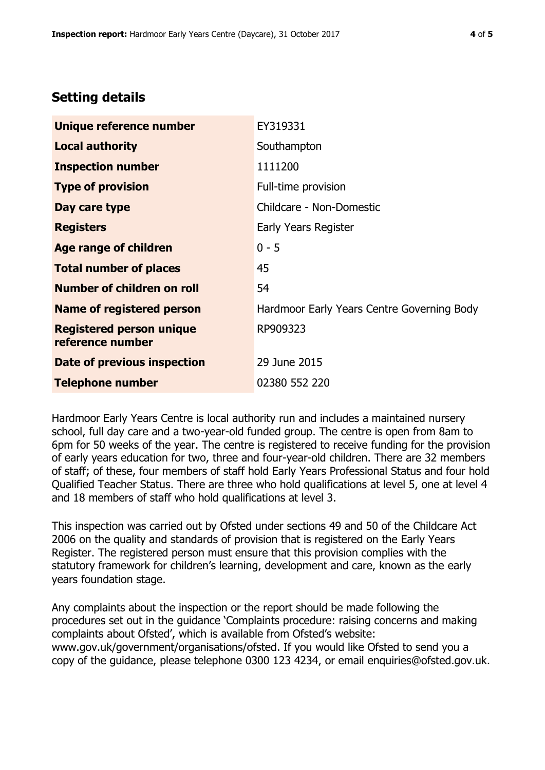## **Setting details**

| Unique reference number                             | EY319331                                   |
|-----------------------------------------------------|--------------------------------------------|
| <b>Local authority</b>                              | Southampton                                |
| <b>Inspection number</b>                            | 1111200                                    |
| <b>Type of provision</b>                            | Full-time provision                        |
| Day care type                                       | Childcare - Non-Domestic                   |
| <b>Registers</b>                                    | Early Years Register                       |
| <b>Age range of children</b>                        | $0 - 5$                                    |
| <b>Total number of places</b>                       | 45                                         |
| Number of children on roll                          | 54                                         |
| Name of registered person                           | Hardmoor Early Years Centre Governing Body |
| <b>Registered person unique</b><br>reference number | RP909323                                   |
| Date of previous inspection                         | 29 June 2015                               |
| <b>Telephone number</b>                             | 02380 552 220                              |

Hardmoor Early Years Centre is local authority run and includes a maintained nursery school, full day care and a two-year-old funded group. The centre is open from 8am to 6pm for 50 weeks of the year. The centre is registered to receive funding for the provision of early years education for two, three and four-year-old children. There are 32 members of staff; of these, four members of staff hold Early Years Professional Status and four hold Qualified Teacher Status. There are three who hold qualifications at level 5, one at level 4 and 18 members of staff who hold qualifications at level 3.

This inspection was carried out by Ofsted under sections 49 and 50 of the Childcare Act 2006 on the quality and standards of provision that is registered on the Early Years Register. The registered person must ensure that this provision complies with the statutory framework for children's learning, development and care, known as the early years foundation stage.

Any complaints about the inspection or the report should be made following the procedures set out in the guidance 'Complaints procedure: raising concerns and making complaints about Ofsted', which is available from Ofsted's website: www.gov.uk/government/organisations/ofsted. If you would like Ofsted to send you a copy of the guidance, please telephone 0300 123 4234, or email enquiries@ofsted.gov.uk.